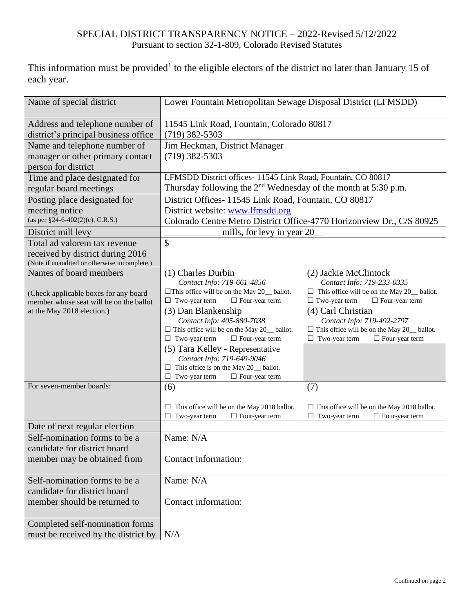## SPECIAL DISTRICT TRANSPARENCY NOTICE – 2022-Revised 5/12/2022 Pursuant to section 32-1-809, Colorado Revised Statutes

This information must be provided<sup>1</sup> to the eligible electors of the district no later than January 15 of each year.

| Name of special district                     | Lower Fountain Metropolitan Sewage Disposal District (LFMSDD)                   |                                                                                 |  |
|----------------------------------------------|---------------------------------------------------------------------------------|---------------------------------------------------------------------------------|--|
| Address and telephone number of              | 11545 Link Road, Fountain, Colorado 80817                                       |                                                                                 |  |
| district's principal business office         | $(719)$ 382-5303                                                                |                                                                                 |  |
| Name and telephone number of                 | Jim Heckman, District Manager                                                   |                                                                                 |  |
| manager or other primary contact             | $(719)$ 382-5303                                                                |                                                                                 |  |
| person for district                          |                                                                                 |                                                                                 |  |
| Time and place designated for                | LFMSDD District offices- 11545 Link Road, Fountain, CO 80817                    |                                                                                 |  |
| regular board meetings                       | Thursday following the $2nd$ Wednesday of the month at 5:30 p.m.                |                                                                                 |  |
| Posting place designated for                 | District Offices-11545 Link Road, Fountain, CO 80817                            |                                                                                 |  |
| meeting notice                               | District website: www.lfmsdd.org                                                |                                                                                 |  |
| (as per §24-6-402(2)(c), C.R.S.)             | Colorado Centre Metro District Office-4770 Horizonview Dr., C/S 80925           |                                                                                 |  |
| District mill levy                           | mills, for levy in year 20                                                      |                                                                                 |  |
| Total ad valorem tax revenue                 | \$                                                                              |                                                                                 |  |
| received by district during 2016             |                                                                                 |                                                                                 |  |
| (Note if unaudited or otherwise incomplete.) |                                                                                 |                                                                                 |  |
| Names of board members                       | (1) Charles Durbin                                                              | (2) Jackie McClintock                                                           |  |
|                                              | Contact Info: 719-661-4856                                                      | Contact Info: 719-233-0335                                                      |  |
| (Check applicable boxes for any board        | $\Box$ This office will be on the May 20_ ballot.                               | $\Box$ This office will be on the May 20_ ballot.                               |  |
| member whose seat will be on the ballot      | $\Box$ Two-year term<br>$\Box$ Four-year term                                   | $\Box$ Two-year term<br>$\Box$ Four-year term                                   |  |
| at the May 2018 election.)                   | (3) Dan Blankenship                                                             | (4) Carl Christian                                                              |  |
|                                              | Contact Info: 405-880-7038<br>$\Box$ This office will be on the May 20_ ballot. | Contact Info: 719-492-2797<br>$\Box$ This office will be on the May 20_ ballot. |  |
|                                              | Two-year term<br>$\Box$ Four-year term<br>⊔                                     | □<br>Two-year term<br>$\Box$ Four-year term                                     |  |
|                                              | (5) Tara Kelley - Representative                                                |                                                                                 |  |
|                                              | Contact Info: 719-649-9046                                                      |                                                                                 |  |
|                                              | This office is on the May 20_ ballot.                                           |                                                                                 |  |
|                                              | Two-year term<br>$\Box$ Four-year term<br>⊔                                     |                                                                                 |  |
| For seven-member boards:                     | (6)                                                                             | (7)                                                                             |  |
|                                              | This office will be on the May 2018 ballot.                                     | $\Box$ This office will be on the May 2018 ballot.                              |  |
|                                              | Two-year term<br>$\Box$ Four-year term<br>⊔                                     | Two-year term<br>$\Box$ Four-year term                                          |  |
| Date of next regular election                |                                                                                 |                                                                                 |  |
| Self-nomination forms to be a                | Name: N/A                                                                       |                                                                                 |  |
| candidate for district board                 |                                                                                 |                                                                                 |  |
| member may be obtained from                  | Contact information:                                                            |                                                                                 |  |
|                                              |                                                                                 |                                                                                 |  |
| Self-nomination forms to be a                | Name: N/A                                                                       |                                                                                 |  |
| candidate for district board                 |                                                                                 |                                                                                 |  |
| member should be returned to                 | Contact information:                                                            |                                                                                 |  |
|                                              |                                                                                 |                                                                                 |  |
| Completed self-nomination forms              |                                                                                 |                                                                                 |  |
| must be received by the district by          | N/A                                                                             |                                                                                 |  |